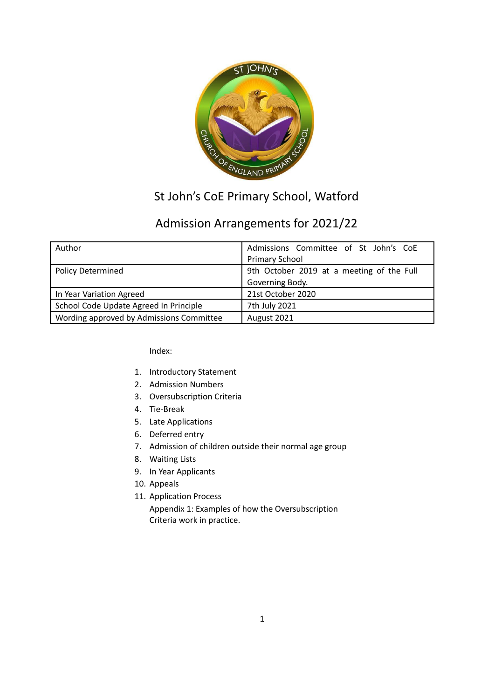

# St John's CoE Primary School, Watford

# Admission Arrangements for 2021/22

| Author                                   | Admissions Committee of St John's CoE     |
|------------------------------------------|-------------------------------------------|
|                                          | <b>Primary School</b>                     |
| <b>Policy Determined</b>                 | 9th October 2019 at a meeting of the Full |
|                                          | Governing Body.                           |
| In Year Variation Agreed                 | 21st October 2020                         |
| School Code Update Agreed In Principle   | 7th July 2021                             |
| Wording approved by Admissions Committee | August 2021                               |

Index:

- 1. Introductory Statement
- 2. Admission Numbers
- 3. Oversubscription Criteria
- 4. Tie-Break
- 5. Late Applications
- 6. Deferred entry
- 7. Admission of children outside their normal age group
- 8. Waiting Lists
- 9. In Year Applicants
- 10. Appeals
- 11. Application Process

Appendix 1: Examples of how the Oversubscription Criteria work in practice.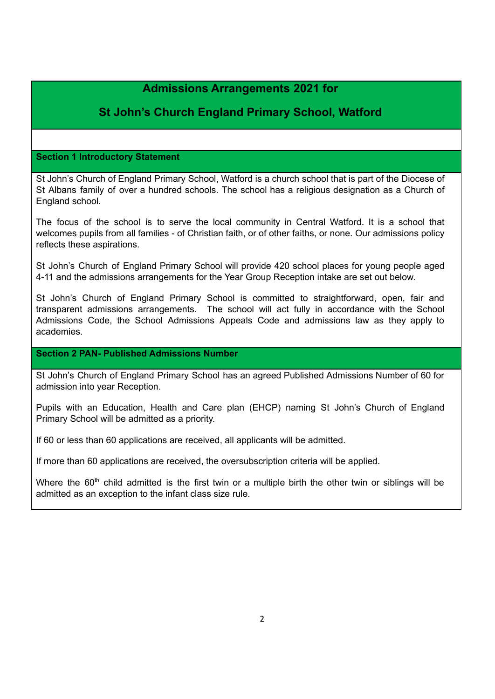# **Admissions Arrangements 2021 for**

# **St John's Church England Primary School, Watford**

#### **Section 1 Introductory Statement**

St John's Church of England Primary School, Watford is a church school that is part of the Diocese of St Albans family of over a hundred schools. The school has a religious designation as a Church of England school.

The focus of the school is to serve the local community in Central Watford. It is a school that welcomes pupils from all families - of Christian faith, or of other faiths, or none. Our admissions policy reflects these aspirations.

St John's Church of England Primary School will provide 420 school places for young people aged 4-11 and the admissions arrangements for the Year Group Reception intake are set out below.

St John's Church of England Primary School is committed to straightforward, open, fair and transparent admissions arrangements. The school will act fully in accordance with the School Admissions Code, the School Admissions Appeals Code and admissions law as they apply to academies.

#### **Section 2 PAN- Published Admissions Number**

St John's Church of England Primary School has an agreed Published Admissions Number of 60 for admission into year Reception.

Pupils with an Education, Health and Care plan (EHCP) naming St John's Church of England Primary School will be admitted as a priority.

If 60 or less than 60 applications are received, all applicants will be admitted.

If more than 60 applications are received, the oversubscription criteria will be applied.

Where the  $60<sup>th</sup>$  child admitted is the first twin or a multiple birth the other twin or siblings will be admitted as an exception to the infant class size rule.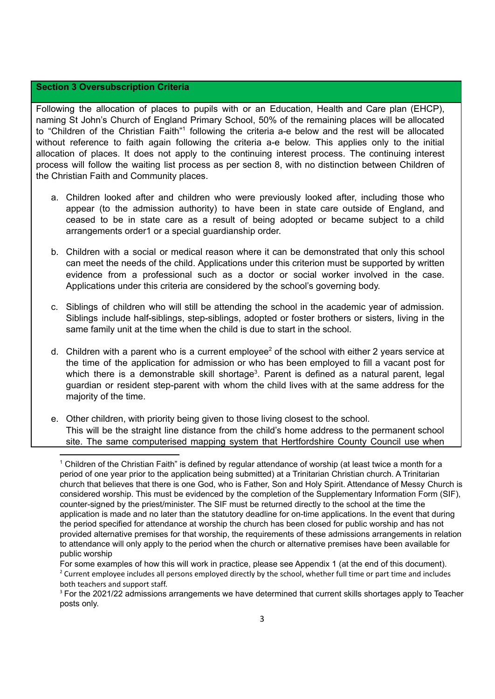#### **Section 3 Oversubscription Criteria**

Following the allocation of places to pupils with or an Education, Health and Care plan (EHCP), naming St John's Church of England Primary School, 50% of the remaining places will be allocated to "Children of the Christian Faith"<sup>1</sup> following the criteria a-e below and the rest will be allocated without reference to faith again following the criteria a-e below. This applies only to the initial allocation of places. It does not apply to the continuing interest process. The continuing interest process will follow the waiting list process as per section 8, with no distinction between Children of the Christian Faith and Community places.

- a. Children looked after and children who were previously looked after, including those who appear (to the admission authority) to have been in state care outside of England, and ceased to be in state care as a result of being adopted or became subject to a child arrangements order1 or a special guardianship order.
- b. Children with a social or medical reason where it can be demonstrated that only this school can meet the needs of the child. Applications under this criterion must be supported by written evidence from a professional such as a doctor or social worker involved in the case. Applications under this criteria are considered by the school's governing body.
- c. Siblings of children who will still be attending the school in the academic year of admission. Siblings include half-siblings, step-siblings, adopted or foster brothers or sisters, living in the same family unit at the time when the child is due to start in the school.
- d. Children with a parent who is a current employee<sup>2</sup> of the school with either 2 years service at the time of the application for admission or who has been employed to fill a vacant post for which there is a demonstrable skill shortage<sup>3</sup>. Parent is defined as a natural parent, legal guardian or resident step-parent with whom the child lives with at the same address for the majority of the time.
- e. Other children, with priority being given to those living closest to the school. This will be the straight line distance from the child's home address to the permanent school site. The same computerised mapping system that Hertfordshire County Council use when

<sup>&</sup>lt;sup>1</sup> Children of the Christian Faith" is defined by regular attendance of worship (at least twice a month for a period of one year prior to the application being submitted) at a Trinitarian Christian church. A Trinitarian church that believes that there is one God, who is Father, Son and Holy Spirit. Attendance of Messy Church is considered worship. This must be evidenced by the completion of the Supplementary Information Form (SIF), counter-signed by the priest/minister. The SIF must be returned directly to the school at the time the application is made and no later than the statutory deadline for on-time applications. In the event that during the period specified for attendance at worship the church has been closed for public worship and has not provided alternative premises for that worship, the requirements of these admissions arrangements in relation to attendance will only apply to the period when the church or alternative premises have been available for public worship

<sup>&</sup>lt;sup>2</sup> Current employee includes all persons employed directly by the school, whether full time or part time and includes both teachers and support staff. For some examples of how this will work in practice, please see Appendix 1 (at the end of this document).

<sup>&</sup>lt;sup>3</sup> For the 2021/22 admissions arrangements we have determined that current skills shortages apply to Teacher posts only.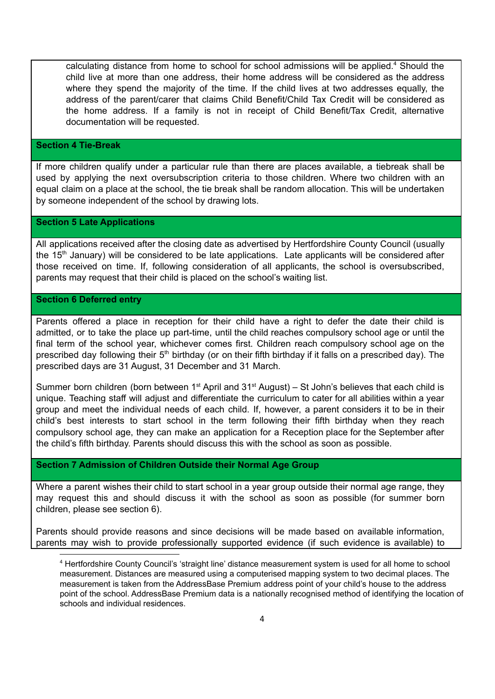calculating distance from home to school for school admissions will be applied.<sup>4</sup> Should the child live at more than one address, their home address will be considered as the address where they spend the majority of the time. If the child lives at two addresses equally, the address of the parent/carer that claims Child Benefit/Child Tax Credit will be considered as the home address. If a family is not in receipt of Child Benefit/Tax Credit, alternative documentation will be requested.

#### **Section 4 Tie-Break**

If more children qualify under a particular rule than there are places available, a tiebreak shall be used by applying the next oversubscription criteria to those children. Where two children with an equal claim on a place at the school, the tie break shall be random allocation. This will be undertaken by someone independent of the school by drawing lots.

#### **Section 5 Late Applications**

All applications received after the closing date as advertised by Hertfordshire County Council (usually the 15<sup>th</sup> January) will be considered to be late applications. Late applicants will be considered after those received on time. If, following consideration of all applicants, the school is oversubscribed, parents may request that their child is placed on the school's waiting list.

#### **Section 6 Deferred entry**

Parents offered a place in reception for their child have a right to defer the date their child is admitted, or to take the place up part-time, until the child reaches compulsory school age or until the final term of the school year, whichever comes first. Children reach compulsory school age on the prescribed day following their 5<sup>th</sup> birthday (or on their fifth birthday if it falls on a prescribed day). The prescribed days are 31 August, 31 December and 31 March.

Summer born children (born between  $1<sup>st</sup>$  April and  $31<sup>st</sup>$  August) – St John's believes that each child is unique. Teaching staff will adjust and differentiate the curriculum to cater for all abilities within a year group and meet the individual needs of each child. If, however, a parent considers it to be in their child's best interests to start school in the term following their fifth birthday when they reach compulsory school age, they can make an application for a Reception place for the September after the child's fifth birthday. Parents should discuss this with the school as soon as possible.

#### **Section 7 Admission of Children Outside their Normal Age Group**

Where a parent wishes their child to start school in a year group outside their normal age range, they may request this and should discuss it with the school as soon as possible (for summer born children, please see section 6).

Parents should provide reasons and since decisions will be made based on available information, parents may wish to provide professionally supported evidence (if such evidence is available) to

<sup>4</sup> Hertfordshire County Council's 'straight line' distance measurement system is used for all home to school measurement. Distances are measured using a computerised mapping system to two decimal places. The measurement is taken from the AddressBase Premium address point of your child's house to the address point of the school. AddressBase Premium data is a nationally recognised method of identifying the location of schools and individual residences.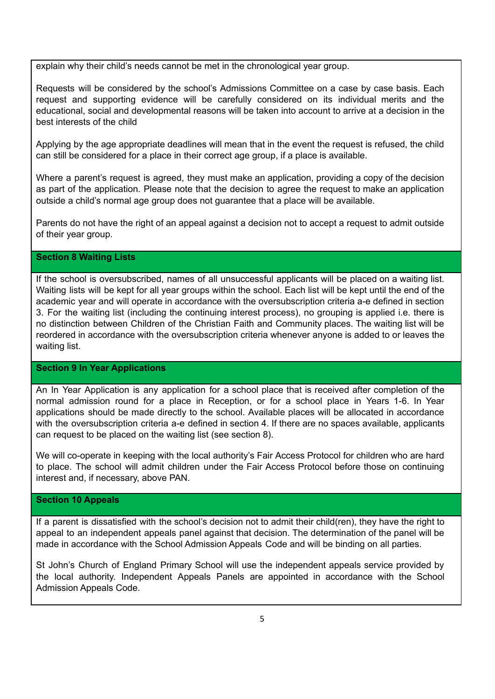explain why their child's needs cannot be met in the chronological year group.

Requests will be considered by the school's Admissions Committee on a case by case basis. Each request and supporting evidence will be carefully considered on its individual merits and the educational, social and developmental reasons will be taken into account to arrive at a decision in the best interests of the child

Applying by the age appropriate deadlines will mean that in the event the request is refused, the child can still be considered for a place in their correct age group, if a place is available.

Where a parent's request is agreed, they must make an application, providing a copy of the decision as part of the application. Please note that the decision to agree the request to make an application outside a child's normal age group does not guarantee that a place will be available.

Parents do not have the right of an appeal against a decision not to accept a request to admit outside of their year group.

#### **Section 8 Waiting Lists**

If the school is oversubscribed, names of all unsuccessful applicants will be placed on a waiting list. Waiting lists will be kept for all year groups within the school. Each list will be kept until the end of the academic year and will operate in accordance with the oversubscription criteria a-e defined in section 3. For the waiting list (including the continuing interest process), no grouping is applied i.e. there is no distinction between Children of the Christian Faith and Community places. The waiting list will be reordered in accordance with the oversubscription criteria whenever anyone is added to or leaves the waiting list.

#### **Section 9 In Year Applications**

An In Year Application is any application for a school place that is received after completion of the normal admission round for a place in Reception, or for a school place in Years 1-6. In Year applications should be made directly to the school. Available places will be allocated in accordance with the oversubscription criteria a-e defined in section 4. If there are no spaces available, applicants can request to be placed on the waiting list (see section 8).

We will co-operate in keeping with the local authority's Fair Access Protocol for children who are hard to place. The school will admit children under the Fair Access Protocol before those on continuing interest and, if necessary, above PAN.

#### **Section 10 Appeals**

If a parent is dissatisfied with the school's decision not to admit their child(ren), they have the right to appeal to an independent appeals panel against that decision. The determination of the panel will be made in accordance with the School Admission Appeals Code and will be binding on all parties.

St John's Church of England Primary School will use the independent appeals service provided by the local authority. Independent Appeals Panels are appointed in accordance with the School Admission Appeals Code.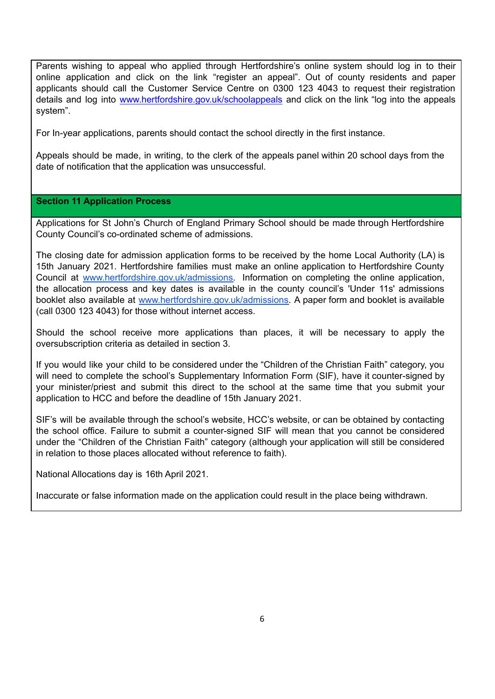Parents wishing to appeal who applied through Hertfordshire's online system should log in to their online application and click on the link "register an appeal". Out of county residents and paper applicants should call the Customer Service Centre on 0300 123 4043 to request their registration details and log into [www.hertfordshire.gov.uk/schoolappeals](http://www.hertfordshire.gov.uk/schoolappeals) and click on the link "log into the appeals system".

For In-year applications, parents should contact the school directly in the first instance.

Appeals should be made, in writing, to the clerk of the appeals panel within 20 school days from the date of notification that the application was unsuccessful.

#### **Section 11 Application Process**

Applications for St John's Church of England Primary School should be made through Hertfordshire County Council's co-ordinated scheme of admissions.

The closing date for admission application forms to be received by the home Local Authority (LA) is 15th January 2021. Hertfordshire families must make an online application to Hertfordshire County Council at [www.hertfordshire.gov.uk/admissions.](http://www.hertfordshire.gov.uk/admissions) Information on completing the online application, the allocation process and key dates is available in the county council's 'Under 11s' admissions booklet also available at [www.hertfordshire.gov.uk/admissions.](http://www.hertfordshire.gov.uk/admissions) A paper form and booklet is available (call 0300 123 4043) for those without internet access.

Should the school receive more applications than places, it will be necessary to apply the oversubscription criteria as detailed in section 3.

If you would like your child to be considered under the "Children of the Christian Faith" category, you will need to complete the school's Supplementary Information Form (SIF), have it counter-signed by your minister/priest and submit this direct to the school at the same time that you submit your application to HCC and before the deadline of 15th January 2021.

SIF's will be available through the school's website, HCC's website, or can be obtained by contacting the school office. Failure to submit a counter-signed SIF will mean that you cannot be considered under the "Children of the Christian Faith" category (although your application will still be considered in relation to those places allocated without reference to faith).

National Allocations day is 16th April 2021.

Inaccurate or false information made on the application could result in the place being withdrawn.